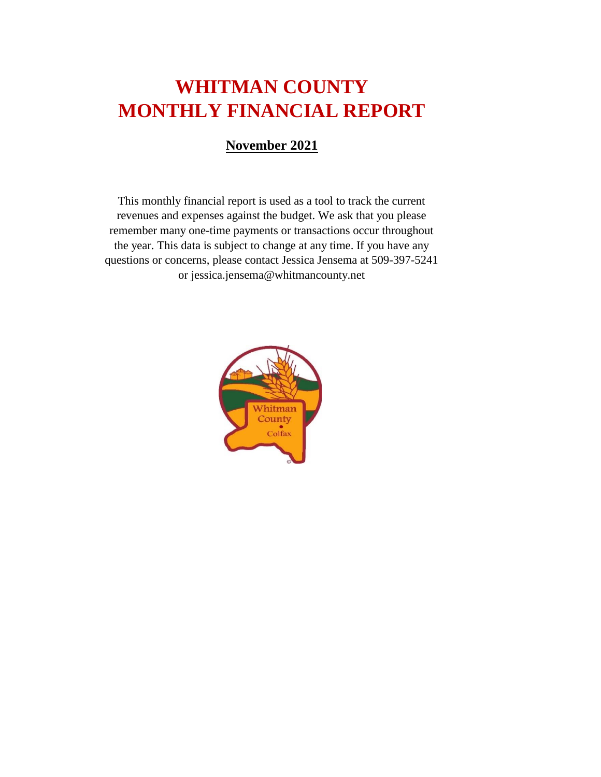# **WHITMAN COUNTY MONTHLY FINANCIAL REPORT**

#### **November 2021**

This monthly financial report is used as a tool to track the current revenues and expenses against the budget. We ask that you please remember many one-time payments or transactions occur throughout the year. This data is subject to change at any time. If you have any questions or concerns, please contact Jessica Jensema at 509-397-5241 or jessica.jensema@whitmancounty.net

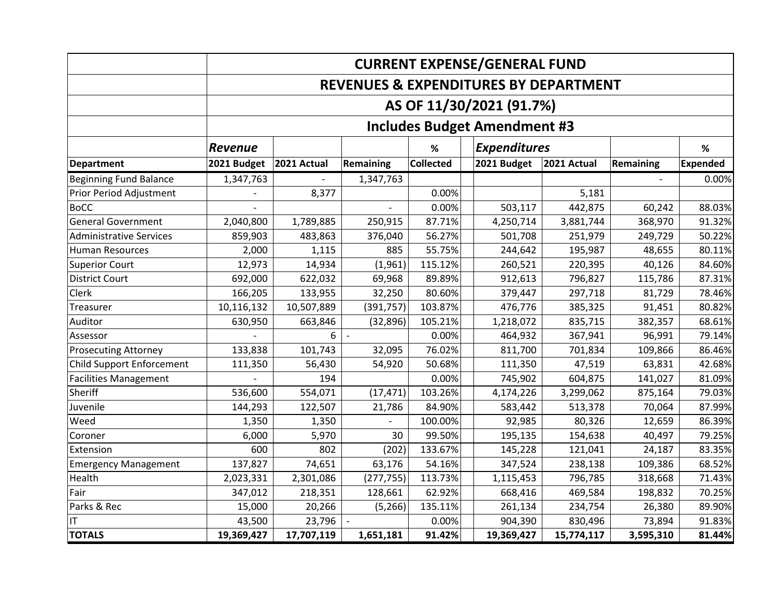|                                  | <b>CURRENT EXPENSE/GENERAL FUND</b> |                          |            |                  |  |                                     |                                                  |                  |                 |  |
|----------------------------------|-------------------------------------|--------------------------|------------|------------------|--|-------------------------------------|--------------------------------------------------|------------------|-----------------|--|
|                                  |                                     |                          |            |                  |  |                                     | <b>REVENUES &amp; EXPENDITURES BY DEPARTMENT</b> |                  |                 |  |
|                                  |                                     | AS OF 11/30/2021 (91.7%) |            |                  |  |                                     |                                                  |                  |                 |  |
|                                  |                                     |                          |            |                  |  | <b>Includes Budget Amendment #3</b> |                                                  |                  |                 |  |
|                                  | <b>Revenue</b>                      |                          |            | $\%$             |  | <b>Expenditures</b>                 |                                                  |                  | %               |  |
| <b>Department</b>                | 2021 Budget                         | 2021 Actual              | Remaining  | <b>Collected</b> |  | 2021 Budget                         | 2021 Actual                                      | <b>Remaining</b> | <b>Expended</b> |  |
| <b>Beginning Fund Balance</b>    | 1,347,763                           |                          | 1,347,763  |                  |  |                                     |                                                  |                  | 0.00%           |  |
| Prior Period Adjustment          |                                     | 8,377                    |            | 0.00%            |  |                                     | 5,181                                            |                  |                 |  |
| <b>BoCC</b>                      |                                     |                          |            | 0.00%            |  | 503,117                             | 442,875                                          | 60,242           | 88.03%          |  |
| <b>General Government</b>        | 2,040,800                           | 1,789,885                | 250,915    | 87.71%           |  | 4,250,714                           | 3,881,744                                        | 368,970          | 91.32%          |  |
| <b>Administrative Services</b>   | 859,903                             | 483,863                  | 376,040    | 56.27%           |  | 501,708                             | 251,979                                          | 249,729          | 50.22%          |  |
| <b>Human Resources</b>           | 2,000                               | 1,115                    | 885        | 55.75%           |  | 244,642                             | 195,987                                          | 48,655           | 80.11%          |  |
| <b>Superior Court</b>            | 12,973                              | 14,934                   | (1,961)    | 115.12%          |  | 260,521                             | 220,395                                          | 40,126           | 84.60%          |  |
| <b>District Court</b>            | 692,000                             | 622,032                  | 69,968     | 89.89%           |  | 912,613                             | 796,827                                          | 115,786          | 87.31%          |  |
| Clerk                            | 166,205                             | 133,955                  | 32,250     | 80.60%           |  | 379,447                             | 297,718                                          | 81,729           | 78.46%          |  |
| Treasurer                        | 10,116,132                          | 10,507,889               | (391, 757) | 103.87%          |  | 476,776                             | 385,325                                          | 91,451           | 80.82%          |  |
| Auditor                          | 630,950                             | 663,846                  | (32, 896)  | 105.21%          |  | 1,218,072                           | 835,715                                          | 382,357          | 68.61%          |  |
| Assessor                         |                                     | 6                        |            | 0.00%            |  | 464,932                             | 367,941                                          | 96,991           | 79.14%          |  |
| <b>Prosecuting Attorney</b>      | 133,838                             | 101,743                  | 32,095     | 76.02%           |  | 811,700                             | 701,834                                          | 109,866          | 86.46%          |  |
| <b>Child Support Enforcement</b> | 111,350                             | 56,430                   | 54,920     | 50.68%           |  | 111,350                             | 47,519                                           | 63,831           | 42.68%          |  |
| <b>Facilities Management</b>     |                                     | 194                      |            | 0.00%            |  | 745,902                             | 604,875                                          | 141,027          | 81.09%          |  |
| Sheriff                          | 536,600                             | 554,071                  | (17, 471)  | 103.26%          |  | 4,174,226                           | 3,299,062                                        | 875,164          | 79.03%          |  |
| Juvenile                         | 144,293                             | 122,507                  | 21,786     | 84.90%           |  | 583,442                             | 513,378                                          | 70,064           | 87.99%          |  |
| Weed                             | 1,350                               | 1,350                    |            | 100.00%          |  | 92,985                              | 80,326                                           | 12,659           | 86.39%          |  |
| Coroner                          | 6,000                               | 5,970                    | 30         | 99.50%           |  | 195,135                             | 154,638                                          | 40,497           | 79.25%          |  |
| Extension                        | 600                                 | 802                      | (202)      | 133.67%          |  | 145,228                             | 121,041                                          | 24,187           | 83.35%          |  |
| <b>Emergency Management</b>      | 137,827                             | 74,651                   | 63,176     | 54.16%           |  | 347,524                             | 238,138                                          | 109,386          | 68.52%          |  |
| Health                           | 2,023,331                           | 2,301,086                | (277, 755) | 113.73%          |  | 1,115,453                           | 796,785                                          | 318,668          | 71.43%          |  |
| Fair                             | 347,012                             | 218,351                  | 128,661    | 62.92%           |  | 668,416                             | 469,584                                          | 198,832          | 70.25%          |  |
| Parks & Rec                      | 15,000                              | 20,266                   | (5, 266)   | 135.11%          |  | 261,134                             | 234,754                                          | 26,380           | 89.90%          |  |
| ΙT                               | 43,500                              | 23,796                   |            | 0.00%            |  | 904,390                             | 830,496                                          | 73,894           | 91.83%          |  |
| <b>TOTALS</b>                    | 19,369,427                          | 17,707,119               | 1,651,181  | 91.42%           |  | 19,369,427                          | 15,774,117                                       | 3,595,310        | 81.44%          |  |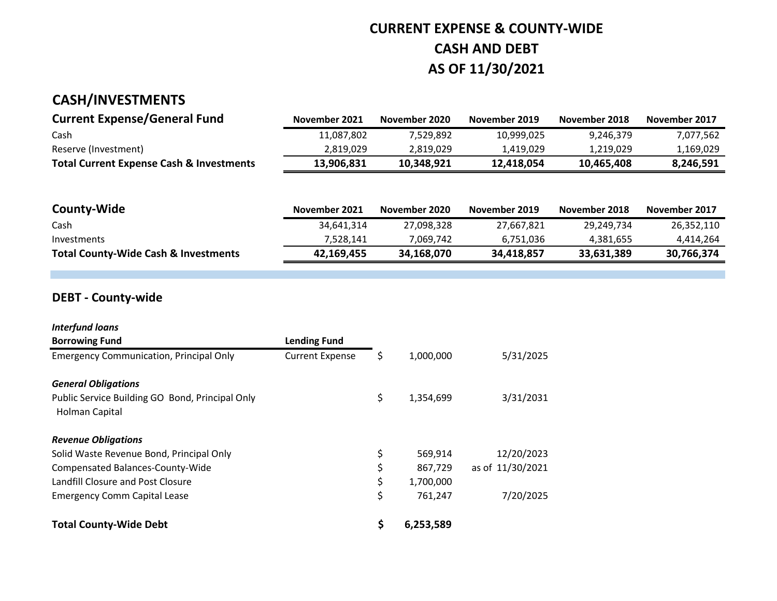### **CURRENT EXPENSE & COUNTY-WIDE CASH AND DEBT AS OF 11/30/2021**

### **CASH/INVESTMENTS**

| <b>Current Expense/General Fund</b>                 | November 2021 | November 2020 | November 2019 | November 2018 | November 2017 |
|-----------------------------------------------------|---------------|---------------|---------------|---------------|---------------|
| Cash                                                | 11,087,802    | 7.529.892     | 10.999.025    | 9.246.379     | 7,077,562     |
| Reserve (Investment)                                | 2.819.029     | 2.819.029     | 1.419.029     | 1.219.029     | 1,169,029     |
| <b>Total Current Expense Cash &amp; Investments</b> | 13,906,831    | 10.348.921    | 12.418.054    | 10.465.408    | 8,246,591     |

| <b>County-Wide</b>                              | November 2021 | November 2020 | November 2019 | November 2018 | November 2017 |
|-------------------------------------------------|---------------|---------------|---------------|---------------|---------------|
| Cash                                            | 34,641,314    | 27,098,328    | 27,667,821    | 29.249.734    | 26,352,110    |
| Investments                                     | 7.528.141     | 7.069.742     | 6.751.036     | 4,381,655     | 4,414,264     |
| <b>Total County-Wide Cash &amp; Investments</b> | 42,169,455    | 34,168,070    | 34,418,857    | 33,631,389    | 30,766,374    |

### **DEBT - County-wide**

| <b>Interfund loans</b>                                            |                        |                 |                  |
|-------------------------------------------------------------------|------------------------|-----------------|------------------|
| <b>Borrowing Fund</b>                                             | <b>Lending Fund</b>    |                 |                  |
| <b>Emergency Communication, Principal Only</b>                    | <b>Current Expense</b> | \$<br>1,000,000 | 5/31/2025        |
| <b>General Obligations</b>                                        |                        |                 |                  |
| Public Service Building GO Bond, Principal Only<br>Holman Capital |                        | \$<br>1,354,699 | 3/31/2031        |
| <b>Revenue Obligations</b>                                        |                        |                 |                  |
| Solid Waste Revenue Bond, Principal Only                          |                        | \$<br>569,914   | 12/20/2023       |
| Compensated Balances-County-Wide                                  |                        | \$<br>867,729   | as of 11/30/2021 |
| Landfill Closure and Post Closure                                 |                        | \$<br>1,700,000 |                  |
| <b>Emergency Comm Capital Lease</b>                               |                        | \$<br>761,247   | 7/20/2025        |
| <b>Total County-Wide Debt</b>                                     |                        | \$<br>6,253,589 |                  |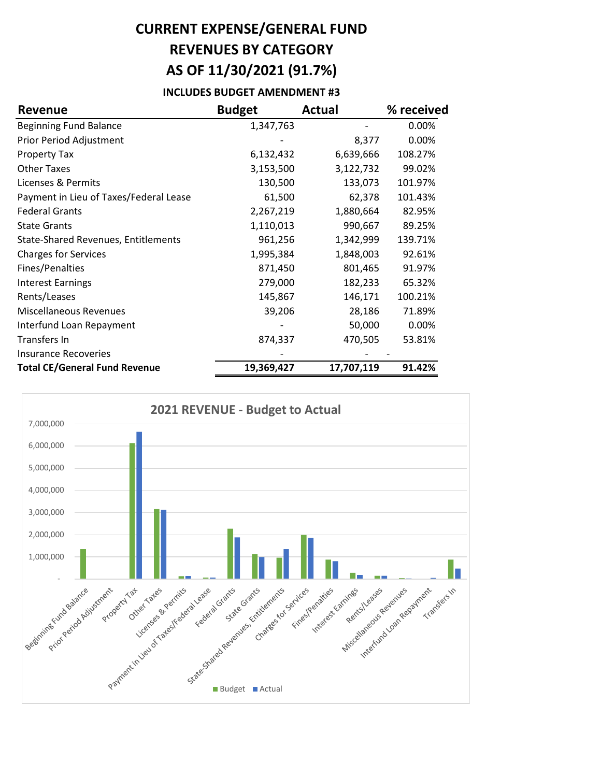## **CURRENT EXPENSE/GENERAL FUND REVENUES BY CATEGORY AS OF 11/30/2021 (91.7%)**

#### **INCLUDES BUDGET AMENDMENT #3**

| <b>Revenue</b>                             | <b>Budget</b> | <b>Actual</b> | % received |
|--------------------------------------------|---------------|---------------|------------|
| <b>Beginning Fund Balance</b>              | 1,347,763     |               | 0.00%      |
| Prior Period Adjustment                    |               | 8,377         | 0.00%      |
| <b>Property Tax</b>                        | 6,132,432     | 6,639,666     | 108.27%    |
| <b>Other Taxes</b>                         | 3,153,500     | 3,122,732     | 99.02%     |
| Licenses & Permits                         | 130,500       | 133,073       | 101.97%    |
| Payment in Lieu of Taxes/Federal Lease     | 61,500        | 62,378        | 101.43%    |
| <b>Federal Grants</b>                      | 2,267,219     | 1,880,664     | 82.95%     |
| <b>State Grants</b>                        | 1,110,013     | 990,667       | 89.25%     |
| <b>State-Shared Revenues, Entitlements</b> | 961,256       | 1,342,999     | 139.71%    |
| <b>Charges for Services</b>                | 1,995,384     | 1,848,003     | 92.61%     |
| Fines/Penalties                            | 871,450       | 801,465       | 91.97%     |
| <b>Interest Earnings</b>                   | 279,000       | 182,233       | 65.32%     |
| Rents/Leases                               | 145,867       | 146,171       | 100.21%    |
| <b>Miscellaneous Revenues</b>              | 39,206        | 28,186        | 71.89%     |
| Interfund Loan Repayment                   |               | 50,000        | 0.00%      |
| Transfers In                               | 874,337       | 470,505       | 53.81%     |
| <b>Insurance Recoveries</b>                |               |               |            |
| <b>Total CE/General Fund Revenue</b>       | 19,369,427    | 17,707,119    | 91.42%     |

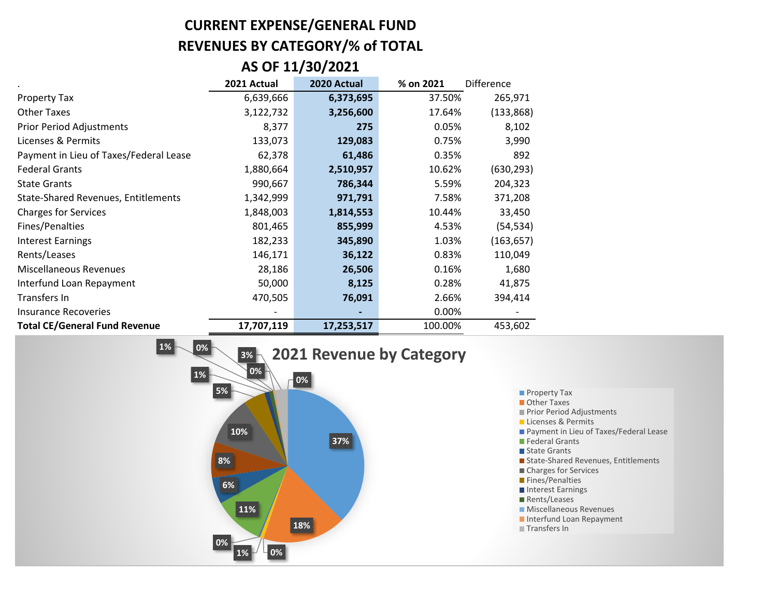## **CURRENT EXPENSE/GENERAL FUND REVENUES BY CATEGORY/% of TOTAL**

#### **AS OF 11/30/2021**

|                                            | 2021 Actual | 2020 Actual | % on 2021 | <b>Difference</b> |
|--------------------------------------------|-------------|-------------|-----------|-------------------|
| <b>Property Tax</b>                        | 6,639,666   | 6,373,695   | 37.50%    | 265,971           |
| <b>Other Taxes</b>                         | 3,122,732   | 3,256,600   | 17.64%    | (133, 868)        |
| <b>Prior Period Adjustments</b>            | 8,377       | 275         | 0.05%     | 8,102             |
| Licenses & Permits                         | 133,073     | 129,083     | 0.75%     | 3,990             |
| Payment in Lieu of Taxes/Federal Lease     | 62,378      | 61,486      | 0.35%     | 892               |
| <b>Federal Grants</b>                      | 1,880,664   | 2,510,957   | 10.62%    | (630, 293)        |
| <b>State Grants</b>                        | 990,667     | 786,344     | 5.59%     | 204,323           |
| <b>State-Shared Revenues, Entitlements</b> | 1,342,999   | 971,791     | 7.58%     | 371,208           |
| <b>Charges for Services</b>                | 1,848,003   | 1,814,553   | 10.44%    | 33,450            |
| Fines/Penalties                            | 801,465     | 855,999     | 4.53%     | (54, 534)         |
| <b>Interest Earnings</b>                   | 182,233     | 345,890     | 1.03%     | (163, 657)        |
| Rents/Leases                               | 146,171     | 36,122      | 0.83%     | 110,049           |
| Miscellaneous Revenues                     | 28,186      | 26,506      | 0.16%     | 1,680             |
| Interfund Loan Repayment                   | 50,000      | 8,125       | 0.28%     | 41,875            |
| Transfers In                               | 470,505     | 76,091      | 2.66%     | 394,414           |
| <b>Insurance Recoveries</b>                |             |             | 0.00%     |                   |
| <b>Total CE/General Fund Revenue</b>       | 17,707,119  | 17,253,517  | 100.00%   | 453,602           |

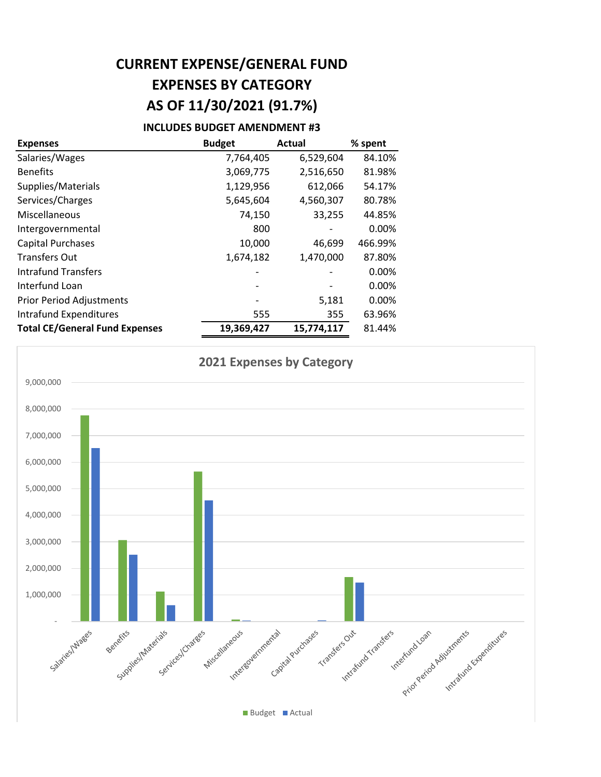## **CURRENT EXPENSE/GENERAL FUND EXPENSES BY CATEGORY AS OF 11/30/2021 (91.7%)**

#### **INCLUDES BUDGET AMENDMENT #3**

| <b>Expenses</b>                       | <b>Budget</b> | <b>Actual</b> | % spent |
|---------------------------------------|---------------|---------------|---------|
| Salaries/Wages                        | 7,764,405     | 6,529,604     | 84.10%  |
| <b>Benefits</b>                       | 3,069,775     | 2,516,650     | 81.98%  |
| Supplies/Materials                    | 1,129,956     | 612,066       | 54.17%  |
| Services/Charges                      | 5,645,604     | 4,560,307     | 80.78%  |
| Miscellaneous                         | 74,150        | 33,255        | 44.85%  |
| Intergovernmental                     | 800           | -             | 0.00%   |
| <b>Capital Purchases</b>              | 10,000        | 46,699        | 466.99% |
| <b>Transfers Out</b>                  | 1,674,182     | 1,470,000     | 87.80%  |
| <b>Intrafund Transfers</b>            |               |               | 0.00%   |
| Interfund Loan                        |               |               | 0.00%   |
| <b>Prior Period Adjustments</b>       |               | 5,181         | 0.00%   |
| <b>Intrafund Expenditures</b>         | 555           | 355           | 63.96%  |
| <b>Total CE/General Fund Expenses</b> | 19,369,427    | 15,774,117    | 81.44%  |

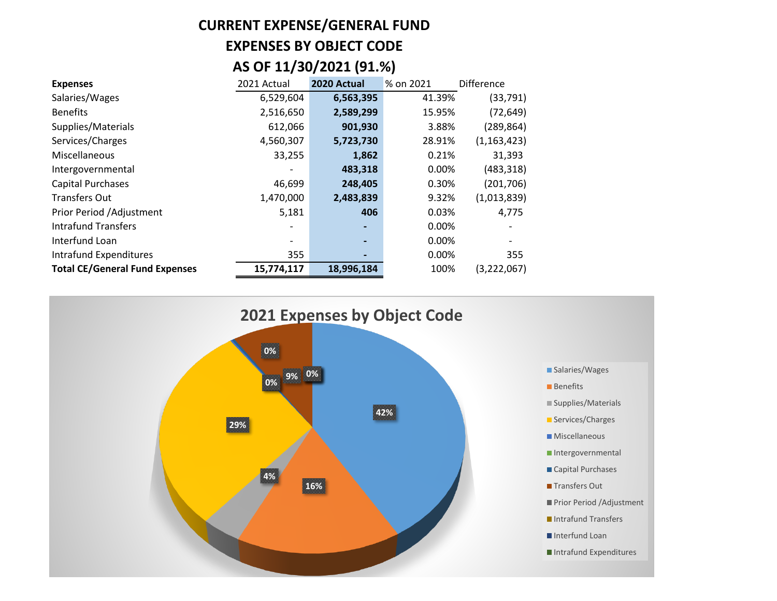## **CURRENT EXPENSE/GENERAL FUND EXPENSES BY OBJECT CODE AS OF 11/30/2021 (91.%)**

| <b>Expenses</b>                       | 2021 Actual | 2020 Actual | % on 2021 | <b>Difference</b> |
|---------------------------------------|-------------|-------------|-----------|-------------------|
| Salaries/Wages                        | 6,529,604   | 6,563,395   | 41.39%    | (33, 791)         |
| <b>Benefits</b>                       | 2,516,650   | 2,589,299   | 15.95%    | (72, 649)         |
| Supplies/Materials                    | 612,066     | 901,930     | 3.88%     | (289, 864)        |
| Services/Charges                      | 4,560,307   | 5,723,730   | 28.91%    | (1, 163, 423)     |
| Miscellaneous                         | 33,255      | 1,862       | 0.21%     | 31,393            |
| Intergovernmental                     |             | 483,318     | 0.00%     | (483, 318)        |
| <b>Capital Purchases</b>              | 46,699      | 248,405     | 0.30%     | (201, 706)        |
| <b>Transfers Out</b>                  | 1,470,000   | 2,483,839   | 9.32%     | (1,013,839)       |
| Prior Period /Adjustment              | 5,181       | 406         | 0.03%     | 4,775             |
| <b>Intrafund Transfers</b>            |             |             | 0.00%     |                   |
| Interfund Loan                        |             |             | 0.00%     |                   |
| Intrafund Expenditures                | 355         |             | 0.00%     | 355               |
| <b>Total CE/General Fund Expenses</b> | 15,774,117  | 18,996,184  | 100%      | (3,222,067)       |

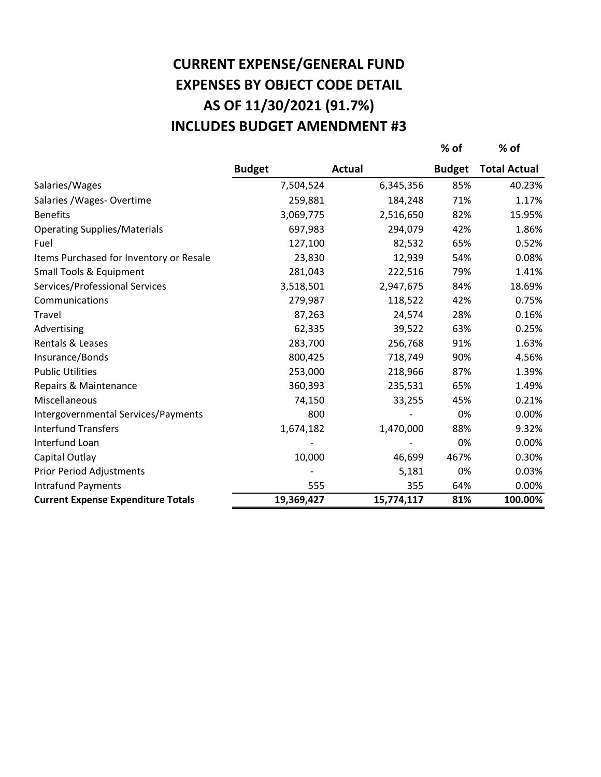## **AS OF 11/30/2021 (91.7%) CURRENT EXPENSE/GENERAL FUND EXPENSES BY OBJECT CODE DETAIL INCLUDES BUDGET AMENDMENT #3**

**% of % of**

|                                           | <b>Budget</b> | <b>Actual</b> | <b>Budget</b> | <b>Total Actual</b> |
|-------------------------------------------|---------------|---------------|---------------|---------------------|
| Salaries/Wages                            | 7,504,524     | 6,345,356     | 85%           | 40.23%              |
| Salaries / Wages - Overtime               | 259,881       | 184,248       | 71%           | 1.17%               |
| <b>Benefits</b>                           | 3,069,775     | 2,516,650     | 82%           | 15.95%              |
| <b>Operating Supplies/Materials</b>       | 697,983       | 294,079       | 42%           | 1.86%               |
| Fuel                                      | 127,100       | 82,532        | 65%           | 0.52%               |
| Items Purchased for Inventory or Resale   | 23,830        | 12,939        | 54%           | 0.08%               |
| Small Tools & Equipment                   | 281,043       | 222,516       | 79%           | 1.41%               |
| Services/Professional Services            | 3,518,501     | 2,947,675     | 84%           | 18.69%              |
| Communications                            | 279,987       | 118,522       | 42%           | 0.75%               |
| Travel                                    | 87,263        | 24,574        | 28%           | 0.16%               |
| Advertising                               | 62,335        | 39,522        | 63%           | 0.25%               |
| Rentals & Leases                          | 283,700       | 256,768       | 91%           | 1.63%               |
| Insurance/Bonds                           | 800,425       | 718,749       | 90%           | 4.56%               |
| <b>Public Utilities</b>                   | 253,000       | 218,966       | 87%           | 1.39%               |
| Repairs & Maintenance                     | 360,393       | 235,531       | 65%           | 1.49%               |
| Miscellaneous                             | 74,150        | 33,255        | 45%           | 0.21%               |
| Intergovernmental Services/Payments       | 800           |               | 0%            | 0.00%               |
| <b>Interfund Transfers</b>                | 1,674,182     | 1,470,000     | 88%           | 9.32%               |
| Interfund Loan                            |               |               | 0%            | 0.00%               |
| Capital Outlay                            | 10,000        | 46,699        | 467%          | 0.30%               |
| <b>Prior Period Adjustments</b>           |               | 5,181         | 0%            | 0.03%               |
| <b>Intrafund Payments</b>                 | 555           | 355           | 64%           | 0.00%               |
| <b>Current Expense Expenditure Totals</b> | 19,369,427    | 15,774,117    | 81%           | 100.00%             |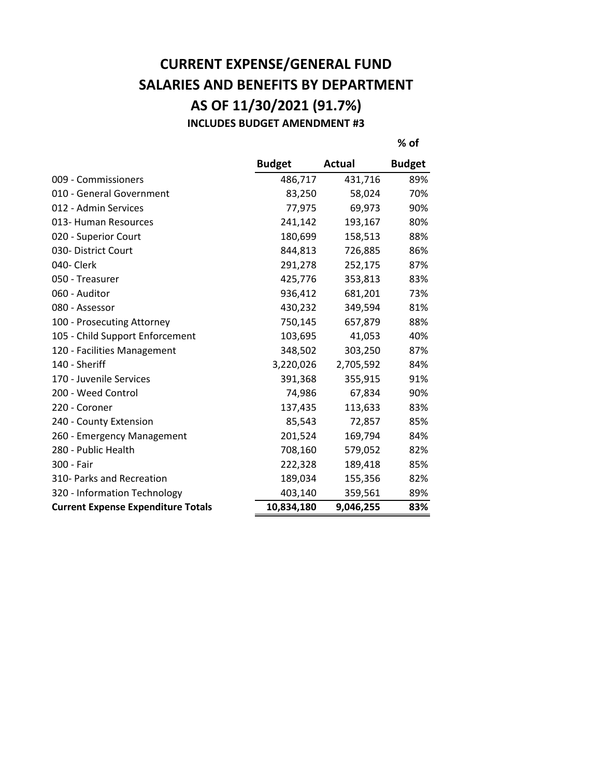### **CURRENT EXPENSE/GENERAL FUND SALARIES AND BENEFITS BY DEPARTMENT AS OF 11/30/2021 (91.7%) INCLUDES BUDGET AMENDMENT #3**

**% of**

|                                           | <b>Budget</b> | <b>Actual</b> | <b>Budget</b> |
|-------------------------------------------|---------------|---------------|---------------|
| 009 - Commissioners                       | 486,717       | 431,716       | 89%           |
| 010 - General Government                  | 83,250        | 58,024        | 70%           |
| 012 - Admin Services                      | 77,975        | 69,973        | 90%           |
| 013- Human Resources                      | 241,142       | 193,167       | 80%           |
| 020 - Superior Court                      | 180,699       | 158,513       | 88%           |
| 030- District Court                       | 844,813       | 726,885       | 86%           |
| 040- Clerk                                | 291,278       | 252,175       | 87%           |
| 050 - Treasurer                           | 425,776       | 353,813       | 83%           |
| 060 - Auditor                             | 936,412       | 681,201       | 73%           |
| 080 - Assessor                            | 430,232       | 349,594       | 81%           |
| 100 - Prosecuting Attorney                | 750,145       | 657,879       | 88%           |
| 105 - Child Support Enforcement           | 103,695       | 41,053        | 40%           |
| 120 - Facilities Management               | 348,502       | 303,250       | 87%           |
| 140 - Sheriff                             | 3,220,026     | 2,705,592     | 84%           |
| 170 - Juvenile Services                   | 391,368       | 355,915       | 91%           |
| 200 - Weed Control                        | 74,986        | 67,834        | 90%           |
| 220 - Coroner                             | 137,435       | 113,633       | 83%           |
| 240 - County Extension                    | 85,543        | 72,857        | 85%           |
| 260 - Emergency Management                | 201,524       | 169,794       | 84%           |
| 280 - Public Health                       | 708,160       | 579,052       | 82%           |
| 300 - Fair                                | 222,328       | 189,418       | 85%           |
| 310- Parks and Recreation                 | 189,034       | 155,356       | 82%           |
| 320 - Information Technology              | 403,140       | 359,561       | 89%           |
| <b>Current Expense Expenditure Totals</b> | 10,834,180    | 9,046,255     | 83%           |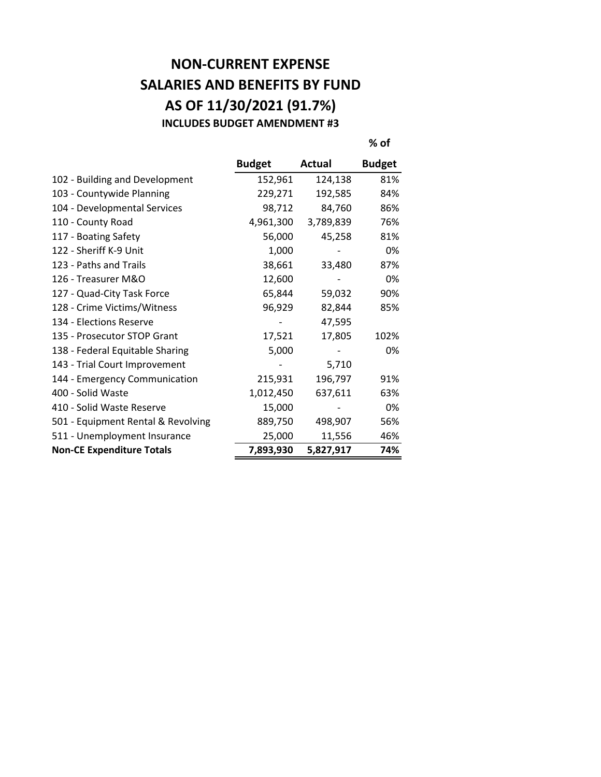### **NON-CURRENT EXPENSE SALARIES AND BENEFITS BY FUND AS OF 11/30/2021 (91.7%) INCLUDES BUDGET AMENDMENT #3**

**% of**

|                                    | <b>Budget</b> | Actual    | <b>Budget</b> |
|------------------------------------|---------------|-----------|---------------|
| 102 - Building and Development     | 152,961       | 124,138   | 81%           |
| 103 - Countywide Planning          | 229,271       | 192,585   | 84%           |
| 104 - Developmental Services       | 98,712        | 84,760    | 86%           |
| 110 - County Road                  | 4,961,300     | 3,789,839 | 76%           |
| 117 - Boating Safety               | 56,000        | 45,258    | 81%           |
| 122 - Sheriff K-9 Unit             | 1,000         |           | 0%            |
| 123 - Paths and Trails             | 38,661        | 33,480    | 87%           |
| 126 - Treasurer M&O                | 12,600        |           | 0%            |
| 127 - Quad-City Task Force         | 65,844        | 59,032    | 90%           |
| 128 - Crime Victims/Witness        | 96,929        | 82,844    | 85%           |
| 134 - Elections Reserve            |               | 47,595    |               |
| 135 - Prosecutor STOP Grant        | 17,521        | 17,805    | 102%          |
| 138 - Federal Equitable Sharing    | 5,000         |           | 0%            |
| 143 - Trial Court Improvement      |               | 5,710     |               |
| 144 - Emergency Communication      | 215,931       | 196,797   | 91%           |
| 400 - Solid Waste                  | 1,012,450     | 637,611   | 63%           |
| 410 - Solid Waste Reserve          | 15,000        |           | 0%            |
| 501 - Equipment Rental & Revolving | 889,750       | 498,907   | 56%           |
| 511 - Unemployment Insurance       | 25,000        | 11,556    | 46%           |
| <b>Non-CE Expenditure Totals</b>   | 7,893,930     | 5,827,917 | 74%           |